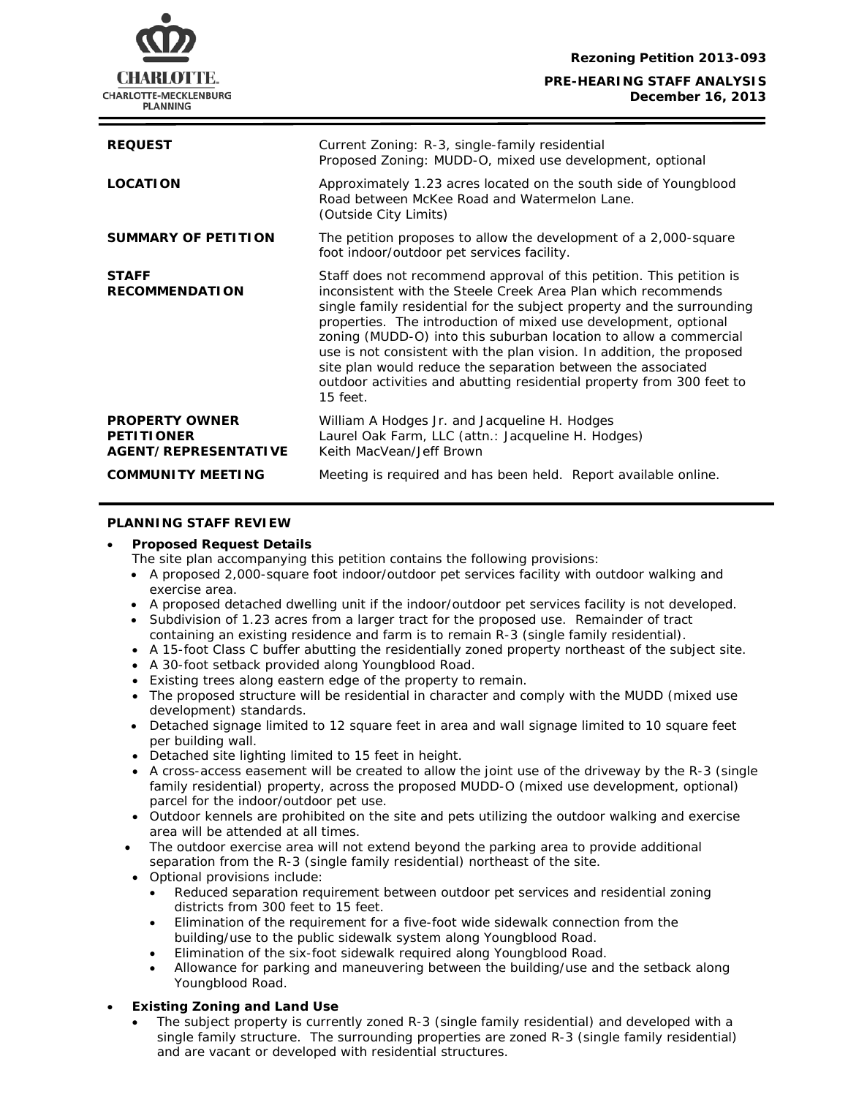**Rezoning Petition 2013-093**

### **PRE-HEARING STAFF ANALYSIS December 16, 2013**



| <b>REQUEST</b>                                                     | Current Zoning: R-3, single-family residential<br>Proposed Zoning: MUDD-O, mixed use development, optional                                                                                                                                                                                                                                                                                                                                                                                                                                                                                     |
|--------------------------------------------------------------------|------------------------------------------------------------------------------------------------------------------------------------------------------------------------------------------------------------------------------------------------------------------------------------------------------------------------------------------------------------------------------------------------------------------------------------------------------------------------------------------------------------------------------------------------------------------------------------------------|
| <b>LOCATION</b>                                                    | Approximately 1.23 acres located on the south side of Youngblood<br>Road between McKee Road and Watermelon Lane.<br>(Outside City Limits)                                                                                                                                                                                                                                                                                                                                                                                                                                                      |
| <b>SUMMARY OF PETITION</b>                                         | The petition proposes to allow the development of a 2,000-square<br>foot indoor/outdoor pet services facility.                                                                                                                                                                                                                                                                                                                                                                                                                                                                                 |
| <b>STAFF</b><br><b>RECOMMENDATION</b>                              | Staff does not recommend approval of this petition. This petition is<br>inconsistent with the <i>Steele Creek Area Plan</i> which recommends<br>single family residential for the subject property and the surrounding<br>properties. The introduction of mixed use development, optional<br>zoning (MUDD-O) into this suburban location to allow a commercial<br>use is not consistent with the plan vision. In addition, the proposed<br>site plan would reduce the separation between the associated<br>outdoor activities and abutting residential property from 300 feet to<br>$15$ feet. |
| <b>PROPERTY OWNER</b><br><b>PETITIONER</b><br>AGENT/REPRESENTATIVE | William A Hodges Jr. and Jacqueline H. Hodges<br>Laurel Oak Farm, LLC (attn.: Jacqueline H. Hodges)<br>Keith MacVean/Jeff Brown                                                                                                                                                                                                                                                                                                                                                                                                                                                                |
| <b>COMMUNITY MEETING</b>                                           | Meeting is required and has been held. Report available online.                                                                                                                                                                                                                                                                                                                                                                                                                                                                                                                                |

## **PLANNING STAFF REVIEW**

#### • **Proposed Request Details**

The site plan accompanying this petition contains the following provisions:

- A proposed 2,000-square foot indoor/outdoor pet services facility with outdoor walking and exercise area.
- A proposed detached dwelling unit if the indoor/outdoor pet services facility is not developed.
- Subdivision of 1.23 acres from a larger tract for the proposed use. Remainder of tract containing an existing residence and farm is to remain R-3 (single family residential).
- A 15-foot Class C buffer abutting the residentially zoned property northeast of the subject site.
- A 30-foot setback provided along Youngblood Road.
- Existing trees along eastern edge of the property to remain.
- The proposed structure will be residential in character and comply with the MUDD (mixed use development) standards.
- Detached signage limited to 12 square feet in area and wall signage limited to 10 square feet per building wall.
- Detached site lighting limited to 15 feet in height.
- A cross-access easement will be created to allow the joint use of the driveway by the R-3 (single family residential) property, across the proposed MUDD-O (mixed use development, optional) parcel for the indoor/outdoor pet use.
- Outdoor kennels are prohibited on the site and pets utilizing the outdoor walking and exercise area will be attended at all times.
- The outdoor exercise area will not extend beyond the parking area to provide additional separation from the R-3 (single family residential) northeast of the site.
- Optional provisions include:
	- Reduced separation requirement between outdoor pet services and residential zoning districts from 300 feet to 15 feet.
	- Elimination of the requirement for a five-foot wide sidewalk connection from the building/use to the public sidewalk system along Youngblood Road.
	- Elimination of the six-foot sidewalk required along Youngblood Road.
	- Allowance for parking and maneuvering between the building/use and the setback along Youngblood Road.

# • **Existing Zoning and Land Use**

• The subject property is currently zoned R-3 (single family residential) and developed with a single family structure. The surrounding properties are zoned R-3 (single family residential) and are vacant or developed with residential structures.